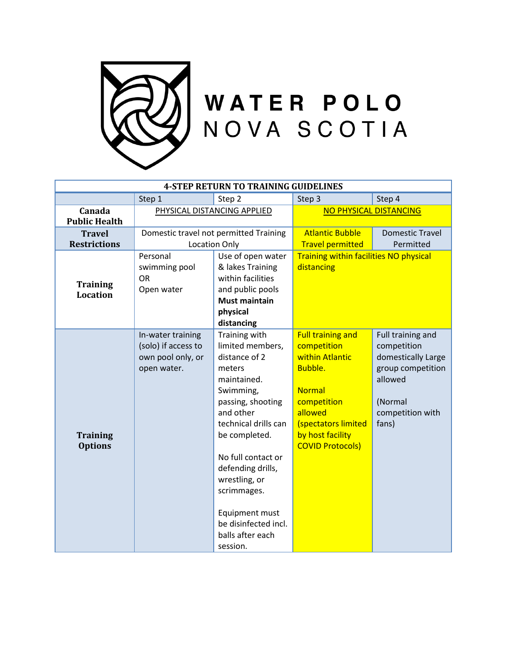

# WATER POLO<br>NOVA SCOTIA

| <b>4-STEP RETURN TO TRAINING GUIDELINES</b> |                                                                              |                                                                                                                                                                                                                                                                                                                                 |                                                                                                                                                                                               |                                                                                                                                |  |  |  |  |
|---------------------------------------------|------------------------------------------------------------------------------|---------------------------------------------------------------------------------------------------------------------------------------------------------------------------------------------------------------------------------------------------------------------------------------------------------------------------------|-----------------------------------------------------------------------------------------------------------------------------------------------------------------------------------------------|--------------------------------------------------------------------------------------------------------------------------------|--|--|--|--|
|                                             | Step 1                                                                       | Step 2                                                                                                                                                                                                                                                                                                                          | Step 3                                                                                                                                                                                        | Step 4                                                                                                                         |  |  |  |  |
| Canada<br><b>Public Health</b>              | PHYSICAL DISTANCING APPLIED                                                  |                                                                                                                                                                                                                                                                                                                                 | NO PHYSICAL DISTANCING                                                                                                                                                                        |                                                                                                                                |  |  |  |  |
| <b>Travel</b>                               | Domestic travel not permitted Training                                       |                                                                                                                                                                                                                                                                                                                                 | <b>Atlantic Bubble</b>                                                                                                                                                                        | <b>Domestic Travel</b>                                                                                                         |  |  |  |  |
| <b>Restrictions</b>                         | <b>Location Only</b>                                                         |                                                                                                                                                                                                                                                                                                                                 | <b>Travel permitted</b>                                                                                                                                                                       | Permitted                                                                                                                      |  |  |  |  |
| <b>Training</b><br><b>Location</b>          | Personal<br>swimming pool<br><b>OR</b><br>Open water                         | Use of open water<br>& lakes Training<br>within facilities<br>and public pools<br><b>Must maintain</b><br>physical<br>distancing                                                                                                                                                                                                | <b>Training within facilities NO physical</b><br>distancing                                                                                                                                   |                                                                                                                                |  |  |  |  |
| <b>Training</b><br><b>Options</b>           | In-water training<br>(solo) if access to<br>own pool only, or<br>open water. | Training with<br>limited members,<br>distance of 2<br>meters<br>maintained.<br>Swimming,<br>passing, shooting<br>and other<br>technical drills can<br>be completed.<br>No full contact or<br>defending drills,<br>wrestling, or<br>scrimmages.<br><b>Equipment must</b><br>be disinfected incl.<br>balls after each<br>session. | <b>Full training and</b><br>competition<br>within Atlantic<br><b>Bubble.</b><br><b>Normal</b><br>competition<br>allowed<br>(spectators limited<br>by host facility<br><b>COVID Protocols)</b> | Full training and<br>competition<br>domestically Large<br>group competition<br>allowed<br>(Normal<br>competition with<br>fans) |  |  |  |  |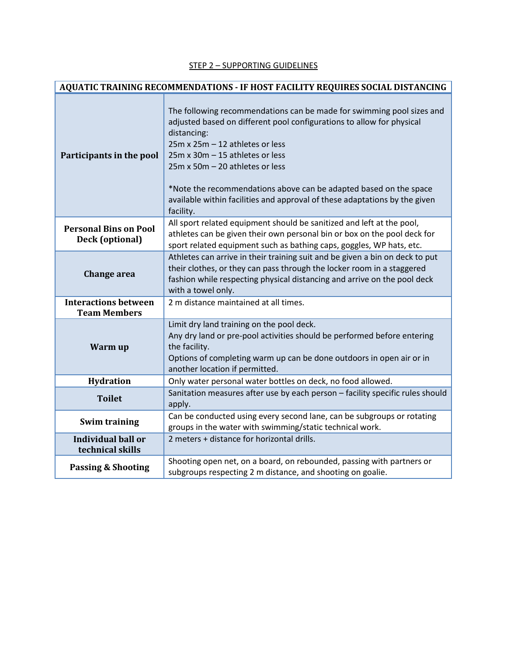|--|

| AQUATIC TRAINING RECOMMENDATIONS - IF HOST FACILITY REQUIRES SOCIAL DISTANCING |                                                                                                                                                                                                                                                                                                                                                                                                                                        |  |  |  |
|--------------------------------------------------------------------------------|----------------------------------------------------------------------------------------------------------------------------------------------------------------------------------------------------------------------------------------------------------------------------------------------------------------------------------------------------------------------------------------------------------------------------------------|--|--|--|
| Participants in the pool                                                       | The following recommendations can be made for swimming pool sizes and<br>adjusted based on different pool configurations to allow for physical<br>distancing:<br>25m x 25m - 12 athletes or less<br>25m x 30m - 15 athletes or less<br>25m x 50m - 20 athletes or less<br>*Note the recommendations above can be adapted based on the space<br>available within facilities and approval of these adaptations by the given<br>facility. |  |  |  |
| <b>Personal Bins on Pool</b><br>Deck (optional)                                | All sport related equipment should be sanitized and left at the pool,<br>athletes can be given their own personal bin or box on the pool deck for<br>sport related equipment such as bathing caps, goggles, WP hats, etc.                                                                                                                                                                                                              |  |  |  |
| <b>Change area</b>                                                             | Athletes can arrive in their training suit and be given a bin on deck to put<br>their clothes, or they can pass through the locker room in a staggered<br>fashion while respecting physical distancing and arrive on the pool deck<br>with a towel only.                                                                                                                                                                               |  |  |  |
| <b>Interactions between</b><br><b>Team Members</b>                             | 2 m distance maintained at all times.                                                                                                                                                                                                                                                                                                                                                                                                  |  |  |  |
| Warm up                                                                        | Limit dry land training on the pool deck.<br>Any dry land or pre-pool activities should be performed before entering<br>the facility.<br>Options of completing warm up can be done outdoors in open air or in<br>another location if permitted.                                                                                                                                                                                        |  |  |  |
| <b>Hydration</b>                                                               | Only water personal water bottles on deck, no food allowed.                                                                                                                                                                                                                                                                                                                                                                            |  |  |  |
| <b>Toilet</b>                                                                  | Sanitation measures after use by each person - facility specific rules should<br>apply.                                                                                                                                                                                                                                                                                                                                                |  |  |  |
| <b>Swim training</b>                                                           | Can be conducted using every second lane, can be subgroups or rotating<br>groups in the water with swimming/static technical work.                                                                                                                                                                                                                                                                                                     |  |  |  |
| Individual ball or<br>technical skills                                         | 2 meters + distance for horizontal drills.                                                                                                                                                                                                                                                                                                                                                                                             |  |  |  |
| <b>Passing &amp; Shooting</b>                                                  | Shooting open net, on a board, on rebounded, passing with partners or<br>subgroups respecting 2 m distance, and shooting on goalie.                                                                                                                                                                                                                                                                                                    |  |  |  |